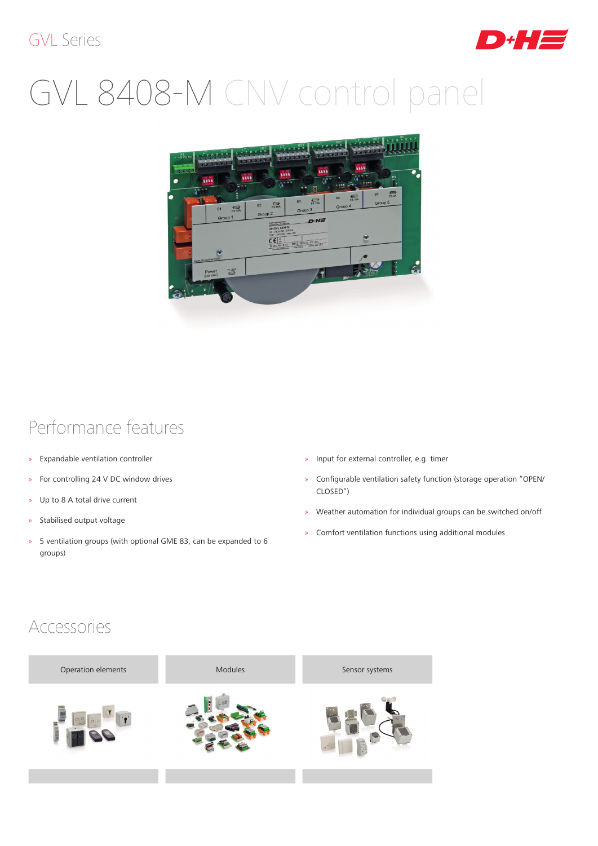#### GVL Series



# GVL 8408-M CNV control panel



### Performance features

- » Expandable ventilation controller
- » For controlling 24 V DC window drives
- » Up to 8 A total drive current
- » Stabilised output voltage
- » 5 ventilation groups (with optional GME 83, can be expanded to 6 groups)
- » Input for external controller, e.g. timer
- » Configurable ventilation safety function (storage operation "OPEN/ CLOSED")
- » Weather automation for individual groups can be switched on/off
- » Comfort ventilation functions using additional modules

#### Accessories